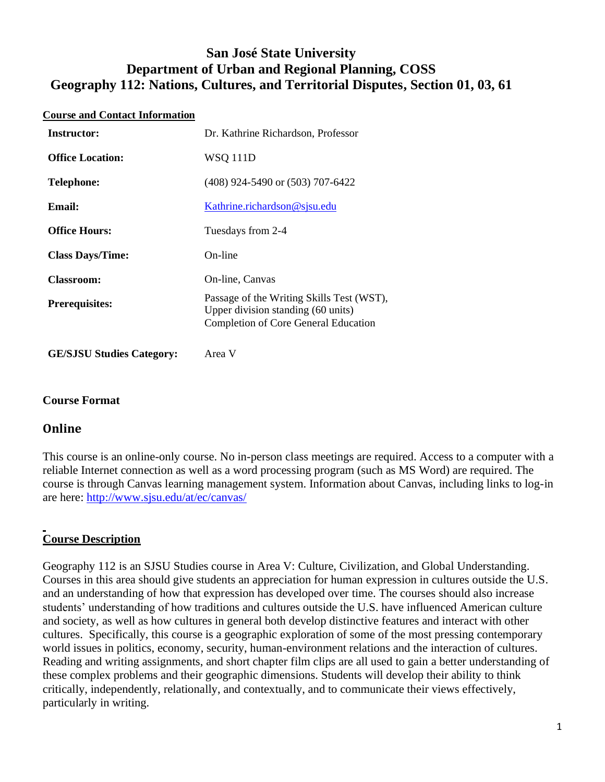# **San José State University Department of Urban and Regional Planning, COSS Geography 112: Nations, Cultures, and Territorial Disputes, Section 01, 03, 61**

#### **Course and Contact Information**

| Instructor:             | Dr. Kathrine Richardson, Professor                                                                                             |  |
|-------------------------|--------------------------------------------------------------------------------------------------------------------------------|--|
| <b>Office Location:</b> | <b>WSQ 111D</b>                                                                                                                |  |
| <b>Telephone:</b>       | $(408)$ 924-5490 or $(503)$ 707-6422                                                                                           |  |
| Email:                  | Kathrine.richardson@sjsu.edu                                                                                                   |  |
| <b>Office Hours:</b>    | Tuesdays from 2-4                                                                                                              |  |
| <b>Class Days/Time:</b> | On-line                                                                                                                        |  |
| <b>Classroom:</b>       | On-line, Canvas                                                                                                                |  |
| <b>Prerequisites:</b>   | Passage of the Writing Skills Test (WST),<br>Upper division standing (60 units)<br><b>Completion of Core General Education</b> |  |

**GE/SJSU Studies Category:** Area V

# **Course Format**

# **Online**

This course is an online-only course. No in-person class meetings are required. Access to a computer with a reliable Internet connection as well as a word processing program (such as MS Word) are required. The course is through Canvas learning management system. Information about Canvas, including links to log-in are here:<http://www.sjsu.edu/at/ec/canvas/>

# **Course Description**

Geography 112 is an SJSU Studies course in Area V: Culture, Civilization, and Global Understanding. Courses in this area should give students an appreciation for human expression in cultures outside the U.S. and an understanding of how that expression has developed over time. The courses should also increase students' understanding of how traditions and cultures outside the U.S. have influenced American culture and society, as well as how cultures in general both develop distinctive features and interact with other cultures. Specifically, this course is a geographic exploration of some of the most pressing contemporary world issues in politics, economy, security, human-environment relations and the interaction of cultures. Reading and writing assignments, and short chapter film clips are all used to gain a better understanding of these complex problems and their geographic dimensions. Students will develop their ability to think critically, independently, relationally, and contextually, and to communicate their views effectively, particularly in writing.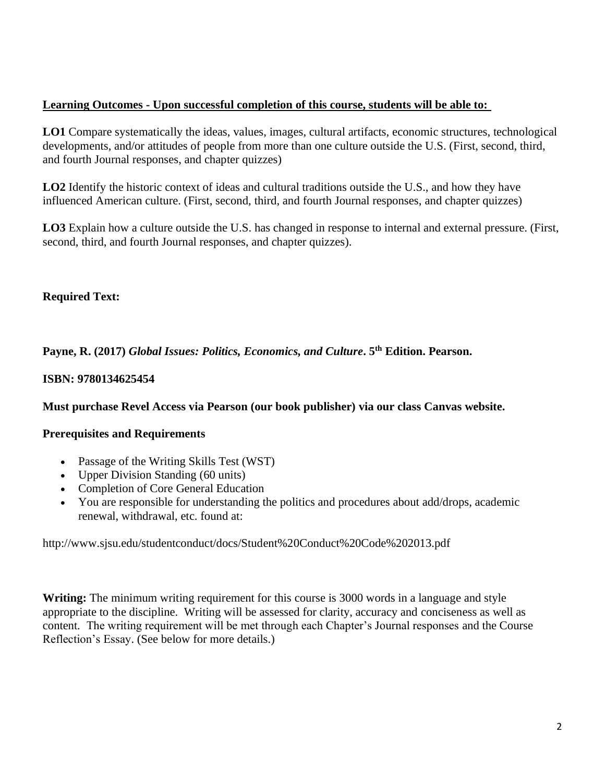# **Learning Outcomes - Upon successful completion of this course, students will be able to:**

**LO1** Compare systematically the ideas, values, images, cultural artifacts, economic structures, technological developments, and/or attitudes of people from more than one culture outside the U.S. (First, second, third, and fourth Journal responses, and chapter quizzes)

**LO2** Identify the historic context of ideas and cultural traditions outside the U.S., and how they have influenced American culture. (First, second, third, and fourth Journal responses, and chapter quizzes)

**LO3** Explain how a culture outside the U.S. has changed in response to internal and external pressure. (First, second, third, and fourth Journal responses, and chapter quizzes).

# **Required Text:**

**Payne, R. (2017)** *Global Issues: Politics, Economics, and Culture***. 5th Edition. Pearson.** 

# **ISBN: 9780134625454**

# **Must purchase Revel Access via Pearson (our book publisher) via our class Canvas website.**

# **Prerequisites and Requirements**

- Passage of the Writing Skills Test (WST)
- Upper Division Standing (60 units)
- Completion of Core General Education
- You are responsible for understanding the politics and procedures about add/drops, academic renewal, withdrawal, etc. found at:

http://www.sjsu.edu/studentconduct/docs/Student%20Conduct%20Code%202013.pdf

**Writing:** The minimum writing requirement for this course is 3000 words in a language and style appropriate to the discipline. Writing will be assessed for clarity, accuracy and conciseness as well as content. The writing requirement will be met through each Chapter's Journal responses and the Course Reflection's Essay. (See below for more details.)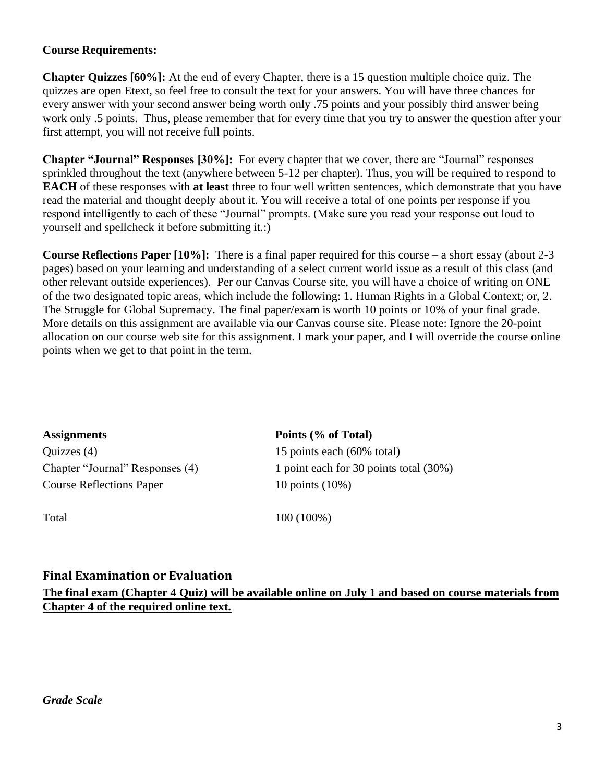# **Course Requirements:**

**Chapter Quizzes [60%]:** At the end of every Chapter, there is a 15 question multiple choice quiz. The quizzes are open Etext, so feel free to consult the text for your answers. You will have three chances for every answer with your second answer being worth only .75 points and your possibly third answer being work only .5 points. Thus, please remember that for every time that you try to answer the question after your first attempt, you will not receive full points.

**Chapter "Journal" Responses [30%]:** For every chapter that we cover, there are "Journal" responses sprinkled throughout the text (anywhere between 5-12 per chapter). Thus, you will be required to respond to **EACH** of these responses with **at least** three to four well written sentences, which demonstrate that you have read the material and thought deeply about it. You will receive a total of one points per response if you respond intelligently to each of these "Journal" prompts. (Make sure you read your response out loud to yourself and spellcheck it before submitting it.:)

**Course Reflections Paper [10%]:** There is a final paper required for this course – a short essay (about 2-3 pages) based on your learning and understanding of a select current world issue as a result of this class (and other relevant outside experiences). Per our Canvas Course site, you will have a choice of writing on ONE of the two designated topic areas, which include the following: 1. Human Rights in a Global Context; or, 2. The Struggle for Global Supremacy. The final paper/exam is worth 10 points or 10% of your final grade. More details on this assignment are available via our Canvas course site. Please note: Ignore the 20-point allocation on our course web site for this assignment. I mark your paper, and I will override the course online points when we get to that point in the term.

| <b>Assignments</b>              | Points (% of Total)                    |
|---------------------------------|----------------------------------------|
| Quizzes $(4)$                   | 15 points each (60% total)             |
| Chapter "Journal" Responses (4) | 1 point each for 30 points total (30%) |
| <b>Course Reflections Paper</b> | 10 points $(10\%)$                     |

Total 100 (100%)

# **Final Examination or Evaluation**

**The final exam (Chapter 4 Quiz) will be available online on July 1 and based on course materials from Chapter 4 of the required online text.**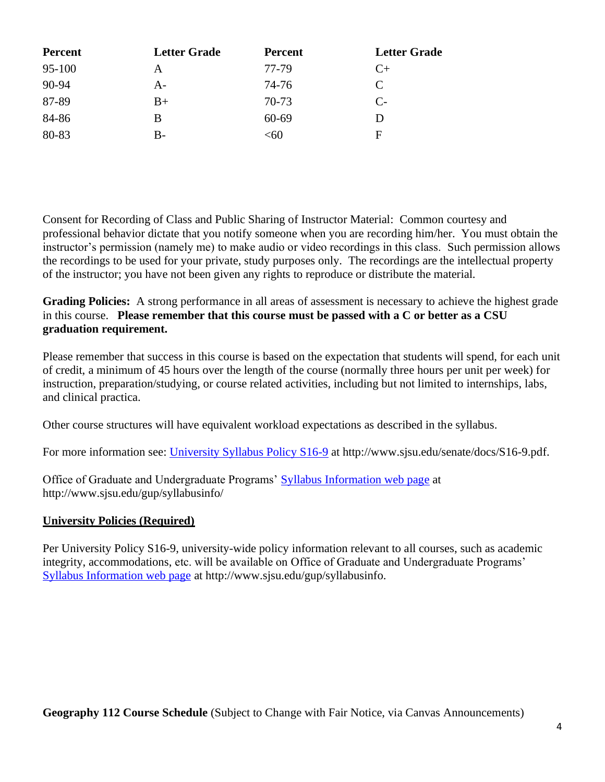| <b>Percent</b> | <b>Letter Grade</b> | <b>Percent</b> | <b>Letter Grade</b>         |
|----------------|---------------------|----------------|-----------------------------|
| 95-100         | А                   | 77-79          | $C+$                        |
| 90-94          | $A -$               | 74-76          | $\mathcal{C}_{\mathcal{C}}$ |
| 87-89          | $B+$                | 70-73          | $C_{\tau}$                  |
| 84-86          | B                   | $60 - 69$      | Ð                           |
| 80-83          | B-                  | $<$ 60         | F                           |

Consent for Recording of Class and Public Sharing of Instructor Material: Common courtesy and professional behavior dictate that you notify someone when you are recording him/her. You must obtain the instructor's permission (namely me) to make audio or video recordings in this class. Such permission allows the recordings to be used for your private, study purposes only. The recordings are the intellectual property of the instructor; you have not been given any rights to reproduce or distribute the material.

**Grading Policies:** A strong performance in all areas of assessment is necessary to achieve the highest grade in this course. **Please remember that this course must be passed with a C or better as a CSU graduation requirement.**

Please remember that success in this course is based on the expectation that students will spend, for each unit of credit, a minimum of 45 hours over the length of the course (normally three hours per unit per week) for instruction, preparation/studying, or course related activities, including but not limited to internships, labs, and clinical practica.

Other course structures will have equivalent workload expectations as described in the syllabus.

For more information see: [University Syllabus Policy S16-9](http://www.sjsu.edu/senate/docs/S16-9.pdf) at http://www.sjsu.edu/senate/docs/S16-9.pdf.

Office of Graduate and Undergraduate Programs' [Syllabus Information web page](http://www.sjsu.edu/gup/syllabusinfo/) at http://www.sjsu.edu/gup/syllabusinfo/

# **University Policies (Required)**

Per University Policy S16-9, university-wide policy information relevant to all courses, such as academic integrity, accommodations, etc. will be available on Office of Graduate and Undergraduate Programs' [Syllabus Information web page](http://www.sjsu.edu/gup/syllabusinfo/) at http://www.sjsu.edu/gup/syllabusinfo.